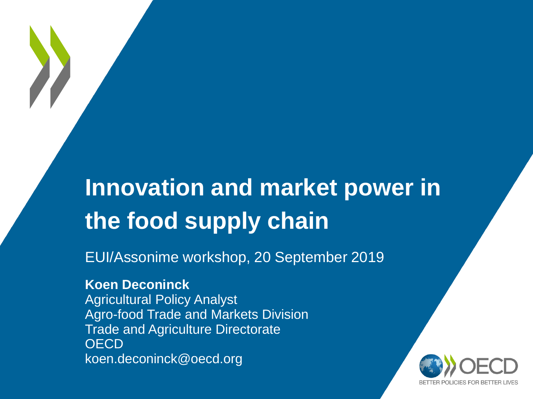# **Innovation and market power in the food supply chain**

EUI/Assonime workshop, 20 September 2019

**Koen Deconinck** Agricultural Policy Analyst Agro-food Trade and Markets Division Trade and Agriculture Directorate **OECD** koen.deconinck@oecd.org

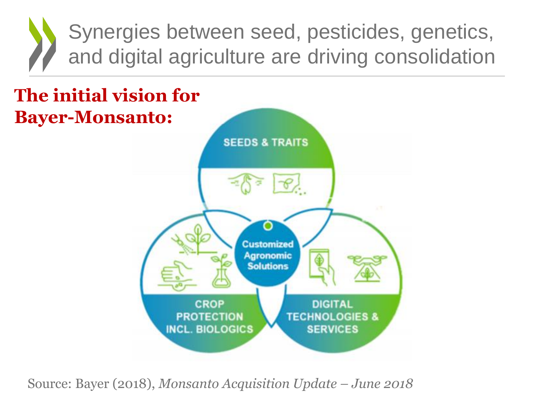



Source: Bayer (2018), *Monsanto Acquisition Update – June 2018*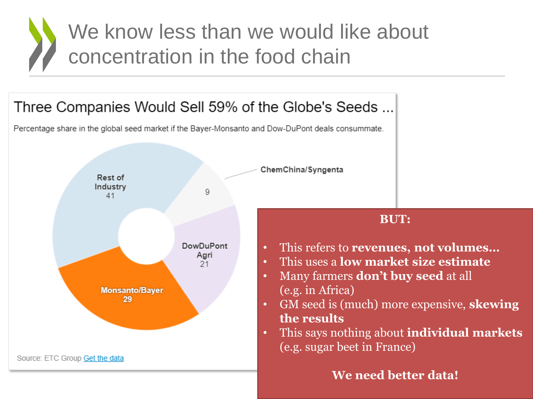## We know less than we would like about concentration in the food chain

### Three Companies Would Sell 59% of the Globe's Seeds ...

Percentage share in the global seed market if the Bayer-Monsanto and Dow-DuPont deals consummate.

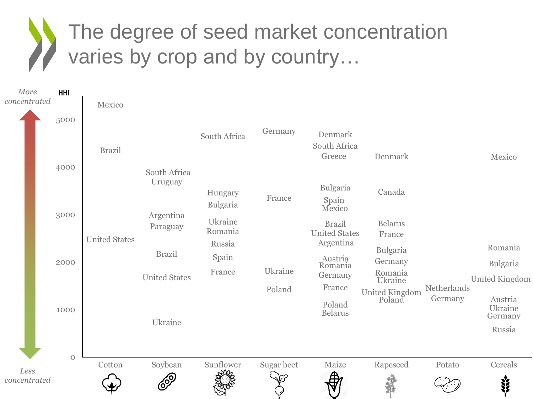### The degree of seed market concentration varies by crop and by country…

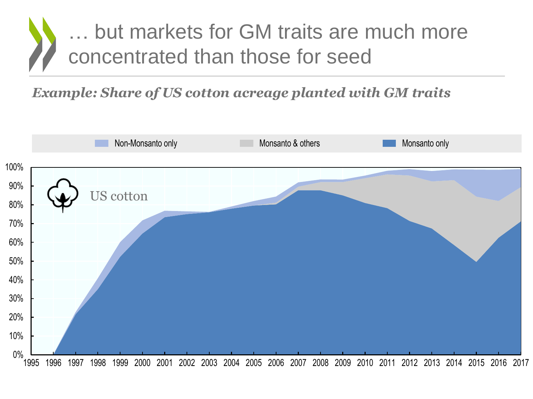## … but markets for GM traits are much more concentrated than those for seed

*Example: Share of US cotton acreage planted with GM traits*

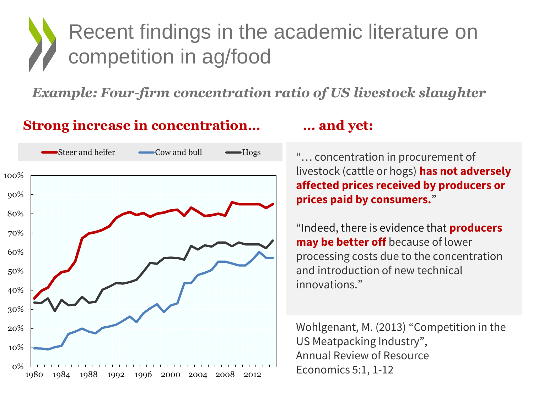### Recent findings in the academic literature on competition in ag/food

*Example: Four-firm concentration ratio of US livestock slaughter*

#### **Strong increase in concentration… … and yet:**



"… concentration in procurement of livestock (cattle or hogs) **has not adversely affected prices received by producers or prices paid by consumers.**"

"Indeed, there is evidence that **producers may be better off** because of lower processing costs due to the concentration and introduction of new technical innovations."

Wohlgenant, M. (2013) "Competition in the US Meatpacking Industry", Annual Review of Resource Economics 5:1, 1-12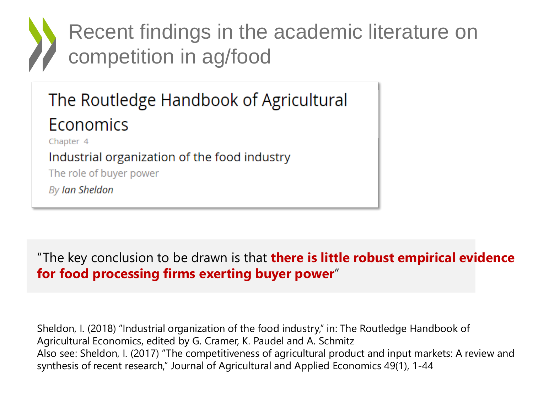Recent findings in the academic literature on competition in ag/food

#### The Routledge Handbook of Agricultural **Economics** Chapter 4 Industrial organization of the food industry The role of buyer power **By Ian Sheldon**

"The key conclusion to be drawn is that **there is little robust empirical evidence for food processing firms exerting buyer power**"

Sheldon, I. (2018) "Industrial organization of the food industry," in: The Routledge Handbook of Agricultural Economics, edited by G. Cramer, K. Paudel and A. Schmitz Also see: Sheldon, I. (2017) "The competitiveness of agricultural product and input markets: A review and synthesis of recent research," Journal of Agricultural and Applied Economics 49(1), 1-44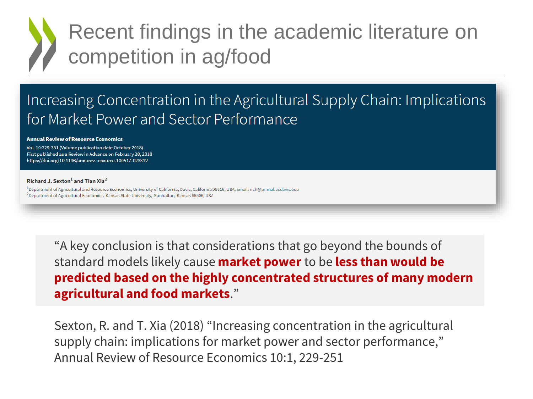## Recent findings in the academic literature on competition in ag/food

### Increasing Concentration in the Agricultural Supply Chain: Implications for Market Power and Sector Performance

#### **Annual Review of Resource Economics**

Vol. 10:229-251 (Volume publication date October 2018) First published as a Review in Advance on February 28, 2018 https://doi.org/10.1146/annurev-resource-100517-023312

#### Richard J. Sexton<sup>1</sup> and Tian Xia<sup>2</sup>

<sup>1</sup>Department of Agricultural and Resource Economics, University of California, Davis, California 95616, USA; email: rich@primal.ucdavis.edu <sup>2</sup>Department of Agricultural Economics, Kansas State University, Manhattan, Kansas 66506, USA

"A key conclusion is that considerations that go beyond the bounds of standard models likely cause **market power** to be **less than would be predicted based on the highly concentrated structures of many modern agricultural and food markets**."

Sexton, R. and T. Xia (2018) "Increasing concentration in the agricultural supply chain: implications for market power and sector performance," Annual Review of Resource Economics 10:1, 229-251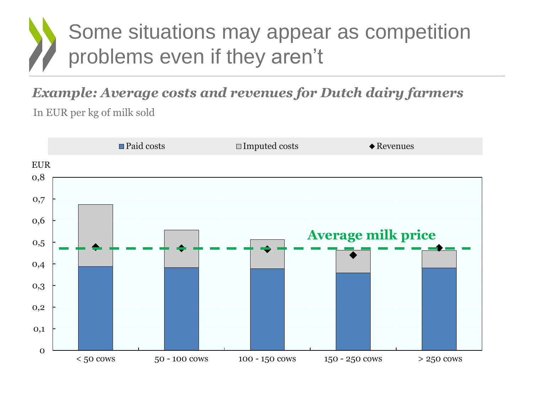## Some situations may appear as competition problems even if they aren't

### *Example: Average costs and revenues for Dutch dairy farmers*

In EUR per kg of milk sold

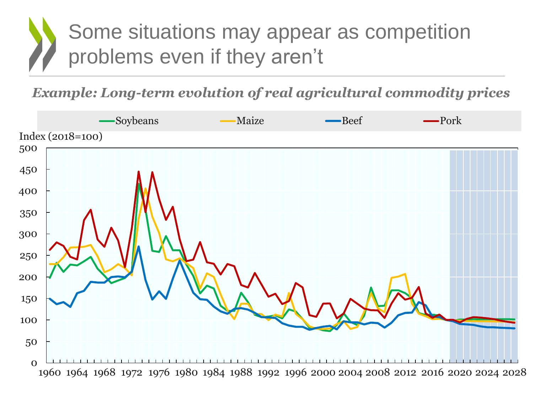### Some situations may appear as competition problems even if they aren't

*Example: Long-term evolution of real agricultural commodity prices*

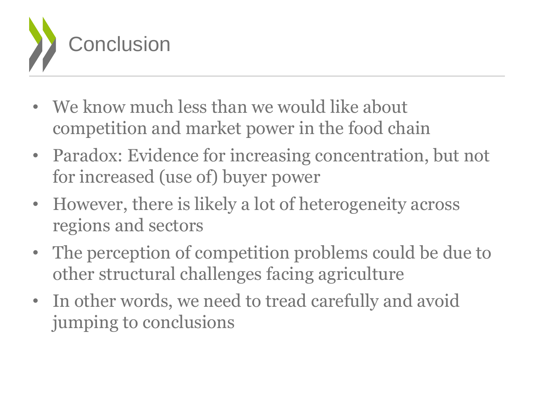

- We know much less than we would like about competition and market power in the food chain
- Paradox: Evidence for increasing concentration, but not for increased (use of) buyer power
- However, there is likely a lot of heterogeneity across regions and sectors
- The perception of competition problems could be due to other structural challenges facing agriculture
- In other words, we need to tread carefully and avoid jumping to conclusions